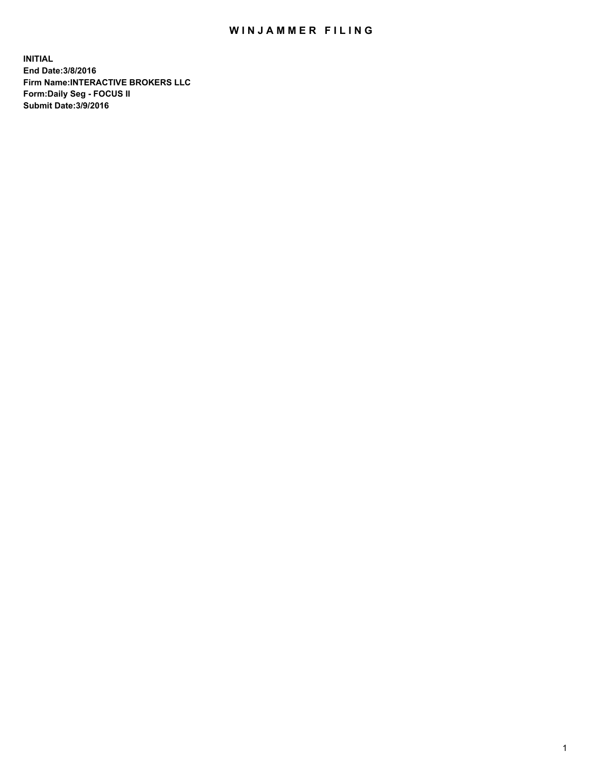## WIN JAMMER FILING

**INITIAL End Date:3/8/2016 Firm Name:INTERACTIVE BROKERS LLC Form:Daily Seg - FOCUS II Submit Date:3/9/2016**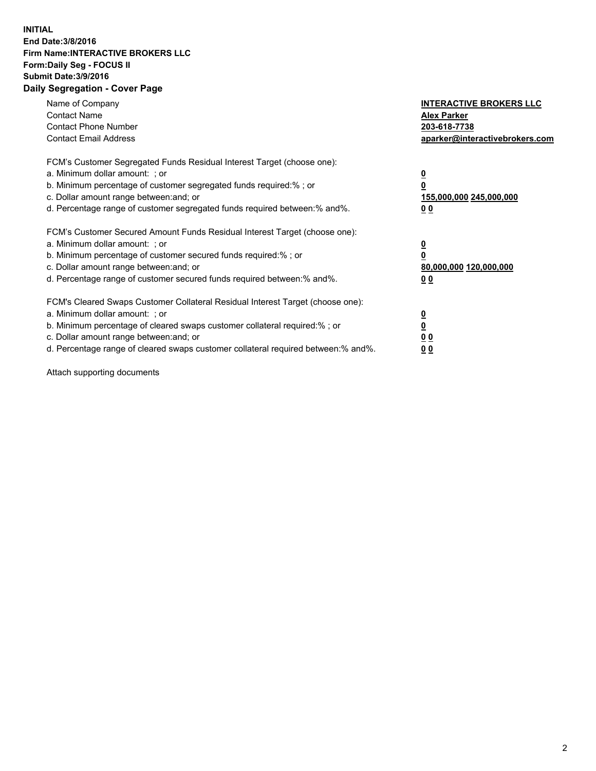## **INITIAL End Date:3/8/2016 Firm Name:INTERACTIVE BROKERS LLC Form:Daily Seg - FOCUS II Submit Date:3/9/2016 Daily Segregation - Cover Page**

| Name of Company<br><b>Contact Name</b><br><b>Contact Phone Number</b><br><b>Contact Email Address</b>                                                                                                                                                                                                                          | <b>INTERACTIVE BROKERS LLC</b><br><b>Alex Parker</b><br>203-618-7738<br>aparker@interactivebrokers.com |
|--------------------------------------------------------------------------------------------------------------------------------------------------------------------------------------------------------------------------------------------------------------------------------------------------------------------------------|--------------------------------------------------------------------------------------------------------|
| FCM's Customer Segregated Funds Residual Interest Target (choose one):<br>a. Minimum dollar amount: ; or<br>b. Minimum percentage of customer segregated funds required:%; or<br>c. Dollar amount range between: and; or<br>d. Percentage range of customer segregated funds required between:% and%.                          | <u>0</u><br><u>155,000,000 245,000,000</u><br><u>0 0</u>                                               |
| FCM's Customer Secured Amount Funds Residual Interest Target (choose one):<br>a. Minimum dollar amount: ; or<br>b. Minimum percentage of customer secured funds required:%; or<br>c. Dollar amount range between: and; or<br>d. Percentage range of customer secured funds required between:% and%.                            | <u>0</u><br>80,000,000 120,000,000<br>0 <sub>0</sub>                                                   |
| FCM's Cleared Swaps Customer Collateral Residual Interest Target (choose one):<br>a. Minimum dollar amount: ; or<br>b. Minimum percentage of cleared swaps customer collateral required:% ; or<br>c. Dollar amount range between: and; or<br>d. Percentage range of cleared swaps customer collateral required between:% and%. | <u>0</u><br>0 <sub>0</sub><br><u>00</u>                                                                |

Attach supporting documents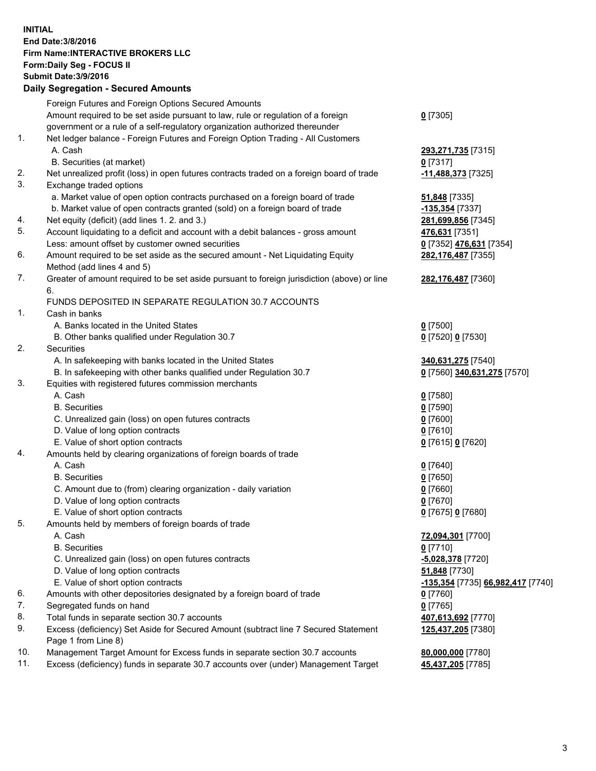## **INITIAL End Date:3/8/2016 Firm Name:INTERACTIVE BROKERS LLC Form:Daily Seg - FOCUS II Submit Date:3/9/2016 Daily Segregation - Secured Amounts**

|     | Foreign Futures and Foreign Options Secured Amounts                                         |                                   |
|-----|---------------------------------------------------------------------------------------------|-----------------------------------|
|     | Amount required to be set aside pursuant to law, rule or regulation of a foreign            | $0$ [7305]                        |
|     | government or a rule of a self-regulatory organization authorized thereunder                |                                   |
| 1.  | Net ledger balance - Foreign Futures and Foreign Option Trading - All Customers             |                                   |
|     | A. Cash                                                                                     | 293,271,735 [7315]                |
|     | B. Securities (at market)                                                                   | $0$ [7317]                        |
| 2.  | Net unrealized profit (loss) in open futures contracts traded on a foreign board of trade   | -11,488,373 [7325]                |
| 3.  | Exchange traded options                                                                     |                                   |
|     | a. Market value of open option contracts purchased on a foreign board of trade              | 51,848 [7335]                     |
|     | b. Market value of open contracts granted (sold) on a foreign board of trade                | -135,354 [7337]                   |
| 4.  | Net equity (deficit) (add lines 1. 2. and 3.)                                               | 281,699,856 [7345]                |
| 5.  | Account liquidating to a deficit and account with a debit balances - gross amount           | 476,631 [7351]                    |
|     | Less: amount offset by customer owned securities                                            | 0 [7352] 476,631 [7354]           |
| 6.  | Amount required to be set aside as the secured amount - Net Liquidating Equity              | 282,176,487 [7355]                |
|     | Method (add lines 4 and 5)                                                                  |                                   |
| 7.  | Greater of amount required to be set aside pursuant to foreign jurisdiction (above) or line | 282,176,487 [7360]                |
|     | 6.                                                                                          |                                   |
|     | FUNDS DEPOSITED IN SEPARATE REGULATION 30.7 ACCOUNTS                                        |                                   |
| 1.  | Cash in banks                                                                               |                                   |
|     | A. Banks located in the United States                                                       | $0$ [7500]                        |
|     | B. Other banks qualified under Regulation 30.7                                              | 0 [7520] 0 [7530]                 |
| 2.  | Securities                                                                                  |                                   |
|     | A. In safekeeping with banks located in the United States                                   | 340,631,275 [7540]                |
|     | B. In safekeeping with other banks qualified under Regulation 30.7                          | 0 [7560] 340,631,275 [7570]       |
| 3.  | Equities with registered futures commission merchants                                       |                                   |
|     | A. Cash                                                                                     | $0$ [7580]                        |
|     |                                                                                             |                                   |
|     | <b>B.</b> Securities                                                                        | $0$ [7590]                        |
|     | C. Unrealized gain (loss) on open futures contracts                                         | $0$ [7600]                        |
|     | D. Value of long option contracts                                                           | $0$ [7610]                        |
|     | E. Value of short option contracts                                                          | 0 [7615] 0 [7620]                 |
| 4.  | Amounts held by clearing organizations of foreign boards of trade                           |                                   |
|     | A. Cash                                                                                     | $0$ [7640]                        |
|     | <b>B.</b> Securities                                                                        | $0$ [7650]                        |
|     | C. Amount due to (from) clearing organization - daily variation                             | $0$ [7660]                        |
|     | D. Value of long option contracts                                                           | $0$ [7670]                        |
|     | E. Value of short option contracts                                                          | 0 [7675] 0 [7680]                 |
| 5.  | Amounts held by members of foreign boards of trade                                          |                                   |
|     | A. Cash                                                                                     | 72,094,301 [7700]                 |
|     | <b>B.</b> Securities                                                                        | $0$ [7710]                        |
|     | C. Unrealized gain (loss) on open futures contracts                                         | -5,028,378 [7720]                 |
|     | D. Value of long option contracts                                                           | 51,848 [7730]                     |
|     | E. Value of short option contracts                                                          | -135,354 [7735] 66,982,417 [7740] |
| 6.  | Amounts with other depositories designated by a foreign board of trade                      | 0 [7760]                          |
| 7.  | Segregated funds on hand                                                                    | $0$ [7765]                        |
| 8.  | Total funds in separate section 30.7 accounts                                               | 407,613,692 [7770]                |
| 9.  | Excess (deficiency) Set Aside for Secured Amount (subtract line 7 Secured Statement         | 125,437,205 [7380]                |
|     | Page 1 from Line 8)                                                                         |                                   |
| 10. | Management Target Amount for Excess funds in separate section 30.7 accounts                 | 80,000,000 [7780]                 |
| 11. | Excess (deficiency) funds in separate 30.7 accounts over (under) Management Target          | 45,437,205 [7785]                 |
|     |                                                                                             |                                   |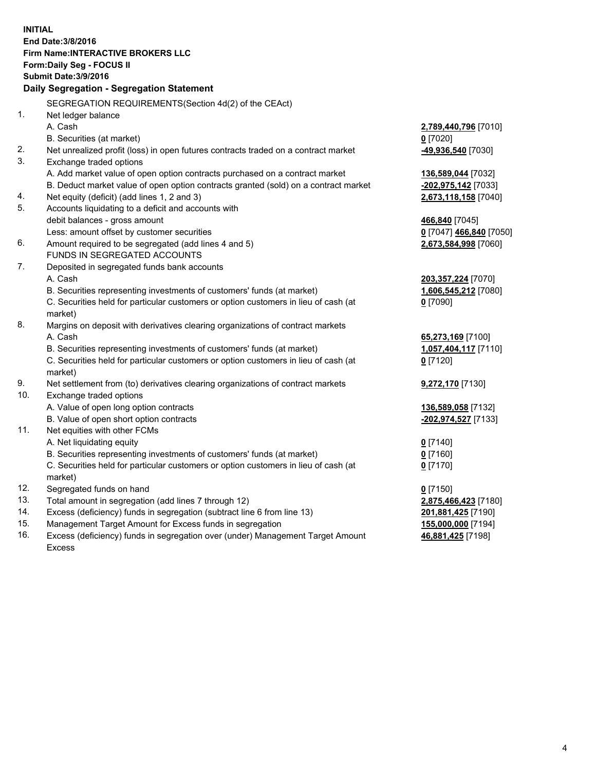**INITIAL End Date:3/8/2016 Firm Name:INTERACTIVE BROKERS LLC Form:Daily Seg - FOCUS II Submit Date:3/9/2016 Daily Segregation - Segregation Statement** SEGREGATION REQUIREMENTS(Section 4d(2) of the CEAct) 1. Net ledger balance A. Cash **2,789,440,796** [7010] B. Securities (at market) **0** [7020] 2. Net unrealized profit (loss) in open futures contracts traded on a contract market **-49,936,540** [7030] 3. Exchange traded options A. Add market value of open option contracts purchased on a contract market **136,589,044** [7032] B. Deduct market value of open option contracts granted (sold) on a contract market **-202,975,142** [7033] 4. Net equity (deficit) (add lines 1, 2 and 3) **2,673,118,158** [7040] 5. Accounts liquidating to a deficit and accounts with debit balances - gross amount **466,840** [7045] Less: amount offset by customer securities **0** [7047] **466,840** [7050] 6. Amount required to be segregated (add lines 4 and 5) **2,673,584,998** [7060] FUNDS IN SEGREGATED ACCOUNTS 7. Deposited in segregated funds bank accounts A. Cash **203,357,224** [7070] B. Securities representing investments of customers' funds (at market) **1,606,545,212** [7080] C. Securities held for particular customers or option customers in lieu of cash (at market) **0** [7090] 8. Margins on deposit with derivatives clearing organizations of contract markets A. Cash **65,273,169** [7100] B. Securities representing investments of customers' funds (at market) **1,057,404,117** [7110] C. Securities held for particular customers or option customers in lieu of cash (at market) **0** [7120] 9. Net settlement from (to) derivatives clearing organizations of contract markets **9,272,170** [7130] 10. Exchange traded options A. Value of open long option contracts **136,589,058** [7132] B. Value of open short option contracts **-202,974,527** [7133] 11. Net equities with other FCMs A. Net liquidating equity **0** [7140] B. Securities representing investments of customers' funds (at market) **0** [7160] C. Securities held for particular customers or option customers in lieu of cash (at market) **0** [7170] 12. Segregated funds on hand **0** [7150] 13. Total amount in segregation (add lines 7 through 12) **2,875,466,423** [7180] 14. Excess (deficiency) funds in segregation (subtract line 6 from line 13) **201,881,425** [7190] 15. Management Target Amount for Excess funds in segregation **155,000,000** [7194] 16. Excess (deficiency) funds in segregation over (under) Management Target Amount **46,881,425** [7198]

Excess